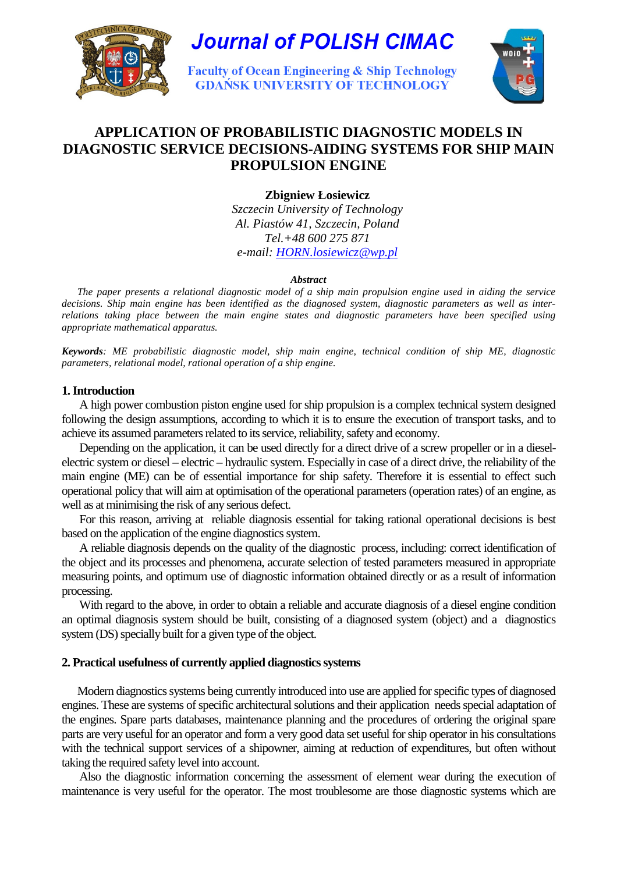

# **Journal of POLISH CIMAC**

**Faculty of Ocean Engineering & Ship Technology GDAŃSK UNIVERSITY OF TECHNOLOGY** 



# **APPLICATION OF PROBABILISTIC DIAGNOSTIC MODELS IN DIAGNOSTIC SERVICE DECISIONS-AIDING SYSTEMS FOR SHIP MAIN PROPULSION ENGINE**

**Zbigniew Łosiewicz** 

*Szczecin University of Technology Al. Piastów 41, Szczecin, Poland Tel.+48 600 275 871* 

*e-mail: HORN.losiewicz@wp.pl*

#### *Abstract*

*The paper presents a relational diagnostic model of a ship main propulsion engine used in aiding the service decisions. Ship main engine has been identified as the diagnosed system, diagnostic parameters as well as interrelations taking place between the main engine states and diagnostic parameters have been specified using appropriate mathematical apparatus.* 

*Keywords: ME probabilistic diagnostic model, ship main engine, technical condition of ship ME, diagnostic parameters, relational model, rational operation of a ship engine.* 

#### **1. Introduction**

A high power combustion piston engine used for ship propulsion is a complex technical system designed following the design assumptions, according to which it is to ensure the execution of transport tasks, and to achieve its assumed parameters related to its service, reliability, safety and economy.

Depending on the application, it can be used directly for a direct drive of a screw propeller or in a dieselelectric system or diesel – electric – hydraulic system. Especially in case of a direct drive, the reliability of the main engine (ME) can be of essential importance for ship safety. Therefore it is essential to effect such operational policy that will aim at optimisation of the operational parameters (operation rates) of an engine, as well as at minimising the risk of any serious defect.

For this reason, arriving at reliable diagnosis essential for taking rational operational decisions is best based on the application of the engine diagnostics system.

A reliable diagnosis depends on the quality of the diagnostic process, including: correct identification of the object and its processes and phenomena, accurate selection of tested parameters measured in appropriate measuring points, and optimum use of diagnostic information obtained directly or as a result of information processing.

With regard to the above, in order to obtain a reliable and accurate diagnosis of a diesel engine condition an optimal diagnosis system should be built, consisting of a diagnosed system (object) and a diagnostics system (DS) specially built for a given type of the object.

# **2. Practical usefulness of currently applied diagnostics systems**

Modern diagnostics systems being currently introduced into use are applied for specific types of diagnosed engines. These are systems of specific architectural solutions and their application needs special adaptation of the engines. Spare parts databases, maintenance planning and the procedures of ordering the original spare parts are very useful for an operator and form a very good data set useful for ship operator in his consultations with the technical support services of a shipowner, aiming at reduction of expenditures, but often without taking the required safety level into account.

Also the diagnostic information concerning the assessment of element wear during the execution of maintenance is very useful for the operator. The most troublesome are those diagnostic systems which are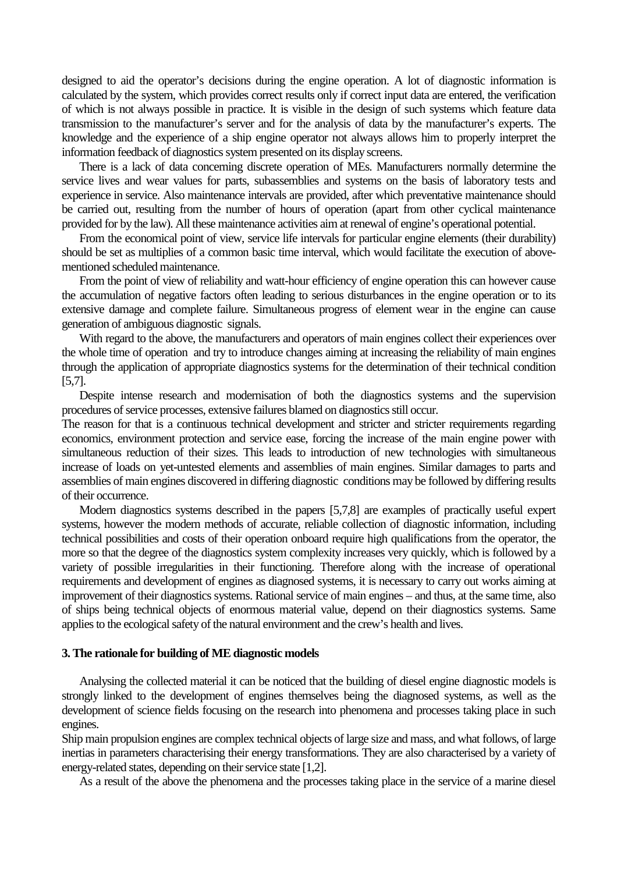designed to aid the operator's decisions during the engine operation. A lot of diagnostic information is calculated by the system, which provides correct results only if correct input data are entered, the verification of which is not always possible in practice. It is visible in the design of such systems which feature data transmission to the manufacturer's server and for the analysis of data by the manufacturer's experts. The knowledge and the experience of a ship engine operator not always allows him to properly interpret the information feedback of diagnostics system presented on its display screens.

There is a lack of data concerning discrete operation of MEs. Manufacturers normally determine the service lives and wear values for parts, subassemblies and systems on the basis of laboratory tests and experience in service. Also maintenance intervals are provided, after which preventative maintenance should be carried out, resulting from the number of hours of operation (apart from other cyclical maintenance provided for by the law). All these maintenance activities aim at renewal of engine's operational potential.

From the economical point of view, service life intervals for particular engine elements (their durability) should be set as multiplies of a common basic time interval, which would facilitate the execution of abovementioned scheduled maintenance.

From the point of view of reliability and watt-hour efficiency of engine operation this can however cause the accumulation of negative factors often leading to serious disturbances in the engine operation or to its extensive damage and complete failure. Simultaneous progress of element wear in the engine can cause generation of ambiguous diagnostic signals.

With regard to the above, the manufacturers and operators of main engines collect their experiences over the whole time of operation and try to introduce changes aiming at increasing the reliability of main engines through the application of appropriate diagnostics systems for the determination of their technical condition [5,7].

Despite intense research and modernisation of both the diagnostics systems and the supervision procedures of service processes, extensive failures blamed on diagnostics still occur.

The reason for that is a continuous technical development and stricter and stricter requirements regarding economics, environment protection and service ease, forcing the increase of the main engine power with simultaneous reduction of their sizes. This leads to introduction of new technologies with simultaneous increase of loads on yet-untested elements and assemblies of main engines. Similar damages to parts and assemblies of main engines discovered in differing diagnostic conditions may be followed by differing results of their occurrence.

Modern diagnostics systems described in the papers [5,7,8] are examples of practically useful expert systems, however the modern methods of accurate, reliable collection of diagnostic information, including technical possibilities and costs of their operation onboard require high qualifications from the operator, the more so that the degree of the diagnostics system complexity increases very quickly, which is followed by a variety of possible irregularities in their functioning. Therefore along with the increase of operational requirements and development of engines as diagnosed systems, it is necessary to carry out works aiming at improvement of their diagnostics systems. Rational service of main engines – and thus, at the same time, also of ships being technical objects of enormous material value, depend on their diagnostics systems. Same applies to the ecological safety of the natural environment and the crew's health and lives.

#### **3. The rationale for building of ME diagnostic models**

Analysing the collected material it can be noticed that the building of diesel engine diagnostic models is strongly linked to the development of engines themselves being the diagnosed systems, as well as the development of science fields focusing on the research into phenomena and processes taking place in such engines.

Ship main propulsion engines are complex technical objects of large size and mass, and what follows, of large inertias in parameters characterising their energy transformations. They are also characterised by a variety of energy-related states, depending on their service state [1,2].

As a result of the above the phenomena and the processes taking place in the service of a marine diesel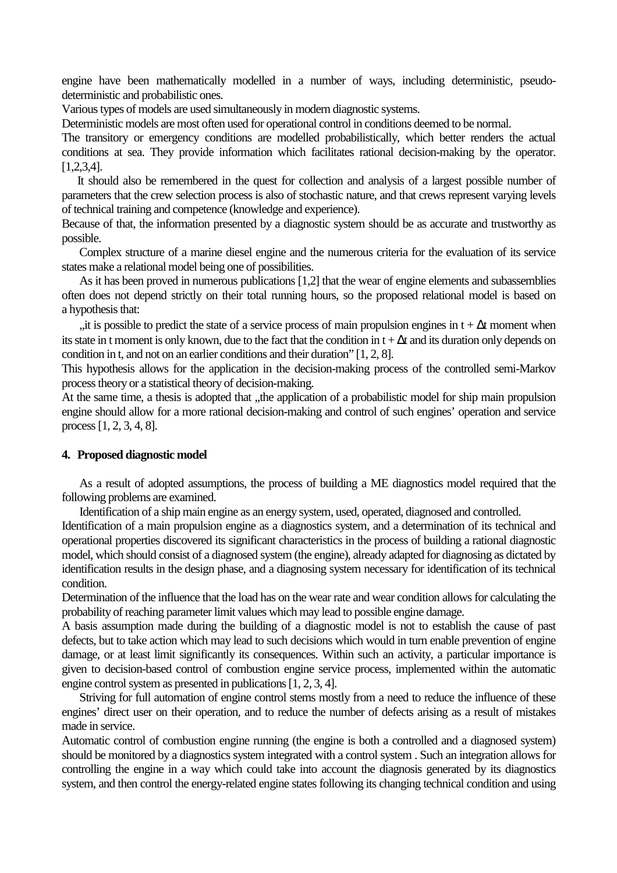engine have been mathematically modelled in a number of ways, including deterministic, pseudodeterministic and probabilistic ones.

Various types of models are used simultaneously in modern diagnostic systems.

Deterministic models are most often used for operational control in conditions deemed to be normal.

The transitory or emergency conditions are modelled probabilistically, which better renders the actual conditions at sea. They provide information which facilitates rational decision-making by the operator. [1,2,3,4].

It should also be remembered in the quest for collection and analysis of a largest possible number of parameters that the crew selection process is also of stochastic nature, and that crews represent varying levels of technical training and competence (knowledge and experience).

Because of that, the information presented by a diagnostic system should be as accurate and trustworthy as possible.

Complex structure of a marine diesel engine and the numerous criteria for the evaluation of its service states make a relational model being one of possibilities.

As it has been proved in numerous publications [1,2] that the wear of engine elements and subassemblies often does not depend strictly on their total running hours, so the proposed relational model is based on a hypothesis that:

"it is possible to predict the state of a service process of main propulsion engines in t +  $\Delta t$  moment when its state in t moment is only known, due to the fact that the condition in t + ∆t and its duration only depends on condition in t, and not on an earlier conditions and their duration" [1, 2, 8].

This hypothesis allows for the application in the decision-making process of the controlled semi-Markov process theory or a statistical theory of decision-making.

At the same time, a thesis is adopted that , the application of a probabilistic model for ship main propulsion engine should allow for a more rational decision-making and control of such engines' operation and service process [1, 2, 3, 4, 8].

#### **4. Proposed diagnostic model**

As a result of adopted assumptions, the process of building a ME diagnostics model required that the following problems are examined.

Identification of a ship main engine as an energy system, used, operated, diagnosed and controlled.

Identification of a main propulsion engine as a diagnostics system, and a determination of its technical and operational properties discovered its significant characteristics in the process of building a rational diagnostic model, which should consist of a diagnosed system (the engine), already adapted for diagnosing as dictated by identification results in the design phase, and a diagnosing system necessary for identification of its technical condition.

Determination of the influence that the load has on the wear rate and wear condition allows for calculating the probability of reaching parameter limit values which may lead to possible engine damage.

A basis assumption made during the building of a diagnostic model is not to establish the cause of past defects, but to take action which may lead to such decisions which would in turn enable prevention of engine damage, or at least limit significantly its consequences. Within such an activity, a particular importance is given to decision-based control of combustion engine service process, implemented within the automatic engine control system as presented in publications [1, 2, 3, 4].

Striving for full automation of engine control stems mostly from a need to reduce the influence of these engines' direct user on their operation, and to reduce the number of defects arising as a result of mistakes made in service.

Automatic control of combustion engine running (the engine is both a controlled and a diagnosed system) should be monitored by a diagnostics system integrated with a control system . Such an integration allows for controlling the engine in a way which could take into account the diagnosis generated by its diagnostics system, and then control the energy-related engine states following its changing technical condition and using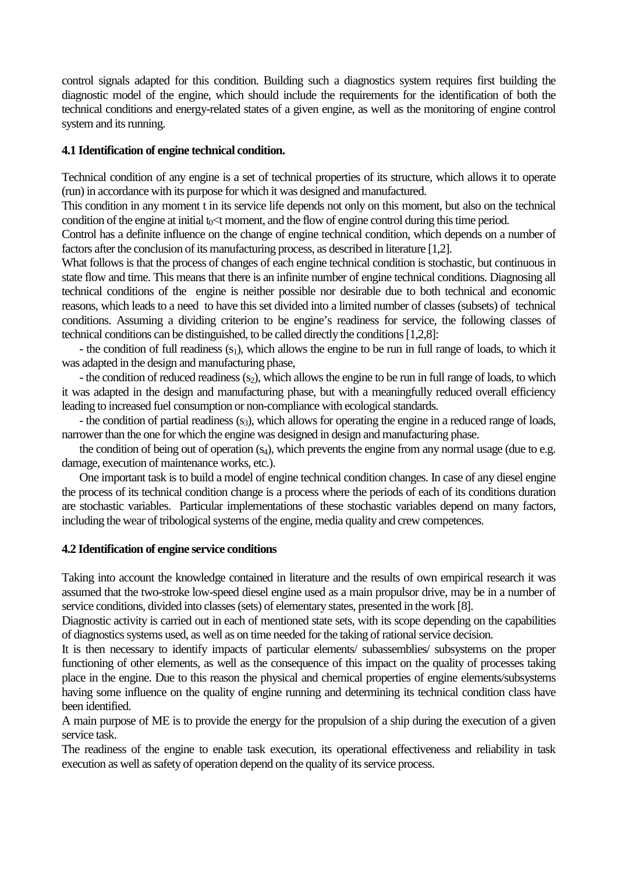control signals adapted for this condition. Building such a diagnostics system requires first building the diagnostic model of the engine, which should include the requirements for the identification of both the technical conditions and energy-related states of a given engine, as well as the monitoring of engine control system and its running.

### **4.1 Identification of engine technical condition.**

Technical condition of any engine is a set of technical properties of its structure, which allows it to operate (run) in accordance with its purpose for which it was designed and manufactured.

This condition in any moment t in its service life depends not only on this moment, but also on the technical condition of the engine at initial  $t_0$   $\lt$ t moment, and the flow of engine control during this time period.

Control has a definite influence on the change of engine technical condition, which depends on a number of factors after the conclusion of its manufacturing process, as described in literature [1,2].

What follows is that the process of changes of each engine technical condition is stochastic, but continuous in state flow and time. This means that there is an infinite number of engine technical conditions. Diagnosing all technical conditions of the engine is neither possible nor desirable due to both technical and economic reasons, which leads to a need to have this set divided into a limited number of classes (subsets) of technical conditions. Assuming a dividing criterion to be engine's readiness for service, the following classes of technical conditions can be distinguished, to be called directly the conditions [1,2,8]:

- the condition of full readiness  $(s_1)$ , which allows the engine to be run in full range of loads, to which it was adapted in the design and manufacturing phase,

- the condition of reduced readiness  $(s_2)$ , which allows the engine to be run in full range of loads, to which it was adapted in the design and manufacturing phase, but with a meaningfully reduced overall efficiency leading to increased fuel consumption or non-compliance with ecological standards.

- the condition of partial readiness  $(s<sub>3</sub>)$ , which allows for operating the engine in a reduced range of loads, narrower than the one for which the engine was designed in design and manufacturing phase.

the condition of being out of operation  $(s_4)$ , which prevents the engine from any normal usage (due to e.g. damage, execution of maintenance works, etc.).

One important task is to build a model of engine technical condition changes. In case of any diesel engine the process of its technical condition change is a process where the periods of each of its conditions duration are stochastic variables. Particular implementations of these stochastic variables depend on many factors, including the wear of tribological systems of the engine, media quality and crew competences.

#### **4.2 Identification of engine service conditions**

Taking into account the knowledge contained in literature and the results of own empirical research it was assumed that the two-stroke low-speed diesel engine used as a main propulsor drive, may be in a number of service conditions, divided into classes (sets) of elementary states, presented in the work [8].

Diagnostic activity is carried out in each of mentioned state sets, with its scope depending on the capabilities of diagnostics systems used, as well as on time needed for the taking of rational service decision.

It is then necessary to identify impacts of particular elements/ subassemblies/ subsystems on the proper functioning of other elements, as well as the consequence of this impact on the quality of processes taking place in the engine. Due to this reason the physical and chemical properties of engine elements/subsystems having some influence on the quality of engine running and determining its technical condition class have been identified.

A main purpose of ME is to provide the energy for the propulsion of a ship during the execution of a given service task.

The readiness of the engine to enable task execution, its operational effectiveness and reliability in task execution as well as safety of operation depend on the quality of its service process.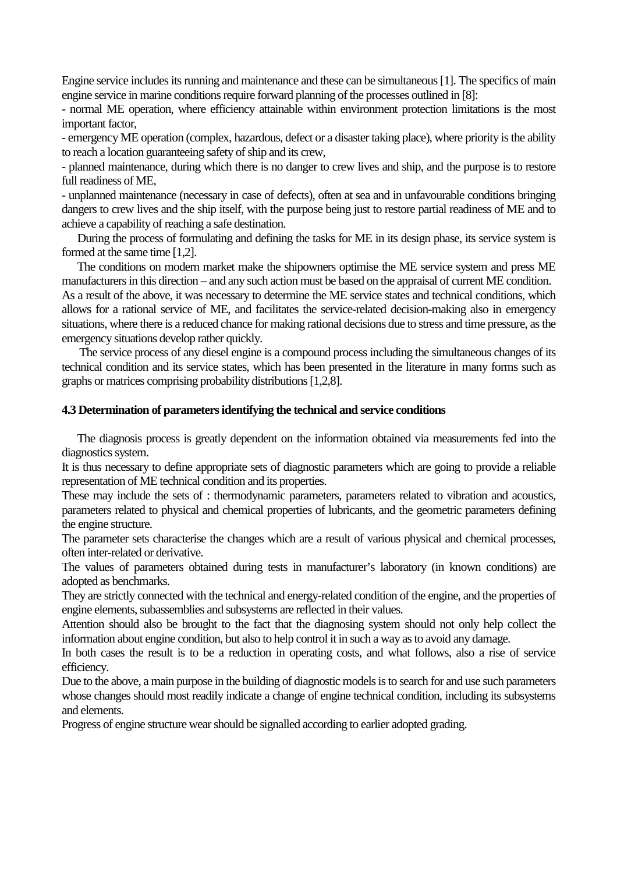Engine service includes its running and maintenance and these can be simultaneous [1]. The specifics of main engine service in marine conditions require forward planning of the processes outlined in [8]:

- normal ME operation, where efficiency attainable within environment protection limitations is the most important factor,

- emergency ME operation (complex, hazardous, defect or a disaster taking place), where priority is the ability to reach a location guaranteeing safety of ship and its crew,

- planned maintenance, during which there is no danger to crew lives and ship, and the purpose is to restore full readiness of ME,

- unplanned maintenance (necessary in case of defects), often at sea and in unfavourable conditions bringing dangers to crew lives and the ship itself, with the purpose being just to restore partial readiness of ME and to achieve a capability of reaching a safe destination.

During the process of formulating and defining the tasks for ME in its design phase, its service system is formed at the same time [1,2].

The conditions on modern market make the shipowners optimise the ME service system and press ME manufacturers in this direction – and any such action must be based on the appraisal of current ME condition.

As a result of the above, it was necessary to determine the ME service states and technical conditions, which allows for a rational service of ME, and facilitates the service-related decision-making also in emergency situations, where there is a reduced chance for making rational decisions due to stress and time pressure, as the emergency situations develop rather quickly.

The service process of any diesel engine is a compound process including the simultaneous changes of its technical condition and its service states, which has been presented in the literature in many forms such as graphs or matrices comprising probability distributions [1,2,8].

# **4.3 Determination of parameters identifying the technical and service conditions**

The diagnosis process is greatly dependent on the information obtained via measurements fed into the diagnostics system.

It is thus necessary to define appropriate sets of diagnostic parameters which are going to provide a reliable representation of ME technical condition and its properties.

These may include the sets of : thermodynamic parameters, parameters related to vibration and acoustics, parameters related to physical and chemical properties of lubricants, and the geometric parameters defining the engine structure.

The parameter sets characterise the changes which are a result of various physical and chemical processes, often inter-related or derivative.

The values of parameters obtained during tests in manufacturer's laboratory (in known conditions) are adopted as benchmarks.

They are strictly connected with the technical and energy-related condition of the engine, and the properties of engine elements, subassemblies and subsystems are reflected in their values.

Attention should also be brought to the fact that the diagnosing system should not only help collect the information about engine condition, but also to help control it in such a way as to avoid any damage.

In both cases the result is to be a reduction in operating costs, and what follows, also a rise of service efficiency.

Due to the above, a main purpose in the building of diagnostic models is to search for and use such parameters whose changes should most readily indicate a change of engine technical condition, including its subsystems and elements.

Progress of engine structure wear should be signalled according to earlier adopted grading.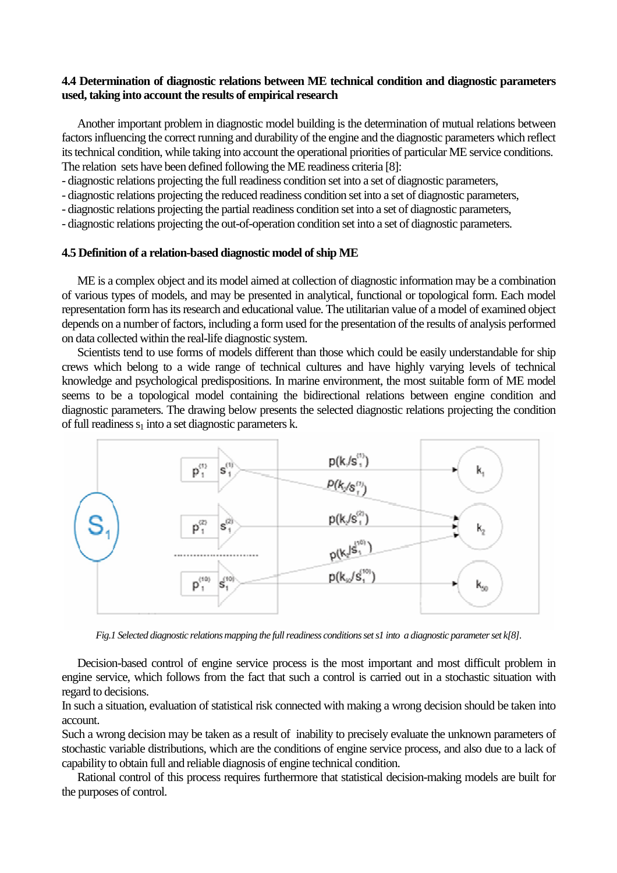# **4.4 Determination of diagnostic relations between ME technical condition and diagnostic parameters used, taking into account the results of empirical research**

Another important problem in diagnostic model building is the determination of mutual relations between factors influencing the correct running and durability of the engine and the diagnostic parameters which reflect its technical condition, while taking into account the operational priorities of particular ME service conditions. The relation sets have been defined following the ME readiness criteria [8]:

- diagnostic relations projecting the full readiness condition set into a set of diagnostic parameters,

- diagnostic relations projecting the reduced readiness condition set into a set of diagnostic parameters,

- diagnostic relations projecting the partial readiness condition set into a set of diagnostic parameters,

- diagnostic relations projecting the out-of-operation condition set into a set of diagnostic parameters.

# **4.5 Definition of a relation-based diagnostic model of ship ME**

ME is a complex object and its model aimed at collection of diagnostic information may be a combination of various types of models, and may be presented in analytical, functional or topological form. Each model representation form has its research and educational value. The utilitarian value of a model of examined object depends on a number of factors, including a form used for the presentation of the results of analysis performed on data collected within the real-life diagnostic system.

Scientists tend to use forms of models different than those which could be easily understandable for ship crews which belong to a wide range of technical cultures and have highly varying levels of technical knowledge and psychological predispositions. In marine environment, the most suitable form of ME model seems to be a topological model containing the bidirectional relations between engine condition and diagnostic parameters. The drawing below presents the selected diagnostic relations projecting the condition of full readiness  $s_1$  into a set diagnostic parameters k.



*Fig.1 Selected diagnostic relations mapping the full readiness conditions set s1 into a diagnostic parameter set k[8].* 

Decision-based control of engine service process is the most important and most difficult problem in engine service, which follows from the fact that such a control is carried out in a stochastic situation with regard to decisions.

In such a situation, evaluation of statistical risk connected with making a wrong decision should be taken into account.

Such a wrong decision may be taken as a result of inability to precisely evaluate the unknown parameters of stochastic variable distributions, which are the conditions of engine service process, and also due to a lack of capability to obtain full and reliable diagnosis of engine technical condition.

Rational control of this process requires furthermore that statistical decision-making models are built for the purposes of control.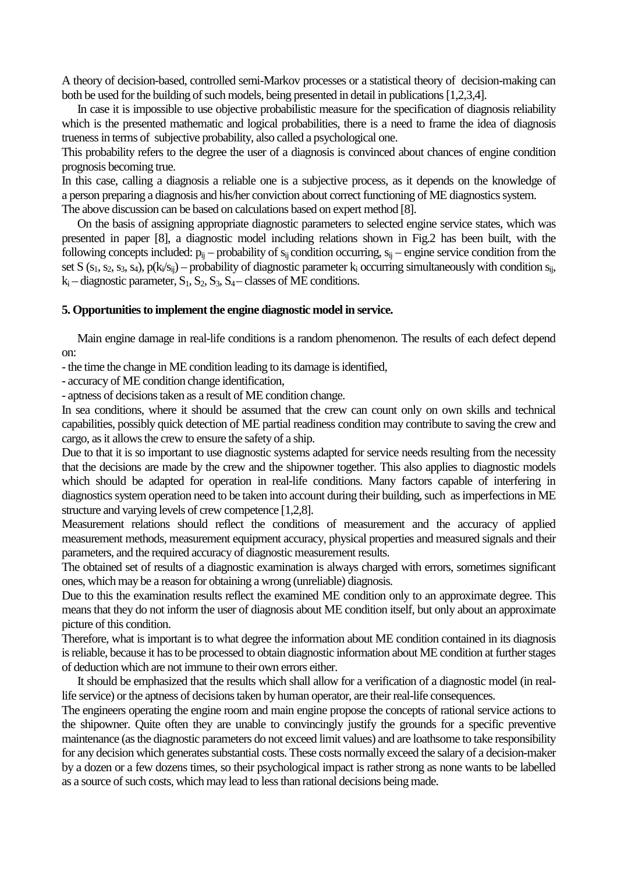A theory of decision-based, controlled semi-Markov processes or a statistical theory of decision-making can both be used for the building of such models, being presented in detail in publications [1,2,3,4].

In case it is impossible to use objective probabilistic measure for the specification of diagnosis reliability which is the presented mathematic and logical probabilities, there is a need to frame the idea of diagnosis trueness in terms of subjective probability, also called a psychological one.

This probability refers to the degree the user of a diagnosis is convinced about chances of engine condition prognosis becoming true.

In this case, calling a diagnosis a reliable one is a subjective process, as it depends on the knowledge of a person preparing a diagnosis and his/her conviction about correct functioning of ME diagnostics system. The above discussion can be based on calculations based on expert method [8].

On the basis of assigning appropriate diagnostic parameters to selected engine service states, which was presented in paper [8], a diagnostic model including relations shown in Fig.2 has been built, with the following concepts included:  $p_{ij}$  – probability of  $s_{ij}$  condition occurring,  $s_{ij}$  – engine service condition from the set S ( $s_1$ ,  $s_2$ ,  $s_3$ ,  $s_4$ ),  $p(k_i/s_{ij})$  – probability of diagnostic parameter  $k_i$  occurring simultaneously with condition  $s_{ij}$ ,  $k_i$  – diagnostic parameter,  $S_1$ ,  $S_2$ ,  $S_3$ ,  $S_4$  – classes of ME conditions.

# **5. Opportunities to implement the engine diagnostic model in service.**

Main engine damage in real-life conditions is a random phenomenon. The results of each defect depend on:

- the time the change in ME condition leading to its damage is identified,

- accuracy of ME condition change identification,

- aptness of decisions taken as a result of ME condition change.

In sea conditions, where it should be assumed that the crew can count only on own skills and technical capabilities, possibly quick detection of ME partial readiness condition may contribute to saving the crew and cargo, as it allows the crew to ensure the safety of a ship.

Due to that it is so important to use diagnostic systems adapted for service needs resulting from the necessity that the decisions are made by the crew and the shipowner together. This also applies to diagnostic models which should be adapted for operation in real-life conditions. Many factors capable of interfering in diagnostics system operation need to be taken into account during their building, such as imperfections in ME structure and varying levels of crew competence [1,2,8].

Measurement relations should reflect the conditions of measurement and the accuracy of applied measurement methods, measurement equipment accuracy, physical properties and measured signals and their parameters, and the required accuracy of diagnostic measurement results.

The obtained set of results of a diagnostic examination is always charged with errors, sometimes significant ones, which may be a reason for obtaining a wrong (unreliable) diagnosis.

Due to this the examination results reflect the examined ME condition only to an approximate degree. This means that they do not inform the user of diagnosis about ME condition itself, but only about an approximate picture of this condition.

Therefore, what is important is to what degree the information about ME condition contained in its diagnosis is reliable, because it has to be processed to obtain diagnostic information about ME condition at further stages of deduction which are not immune to their own errors either.

It should be emphasized that the results which shall allow for a verification of a diagnostic model (in reallife service) or the aptness of decisions taken by human operator, are their real-life consequences.

The engineers operating the engine room and main engine propose the concepts of rational service actions to the shipowner. Quite often they are unable to convincingly justify the grounds for a specific preventive maintenance (as the diagnostic parameters do not exceed limit values) and are loathsome to take responsibility for any decision which generates substantial costs. These costs normally exceed the salary of a decision-maker by a dozen or a few dozens times, so their psychological impact is rather strong as none wants to be labelled as a source of such costs, which may lead to less than rational decisions being made.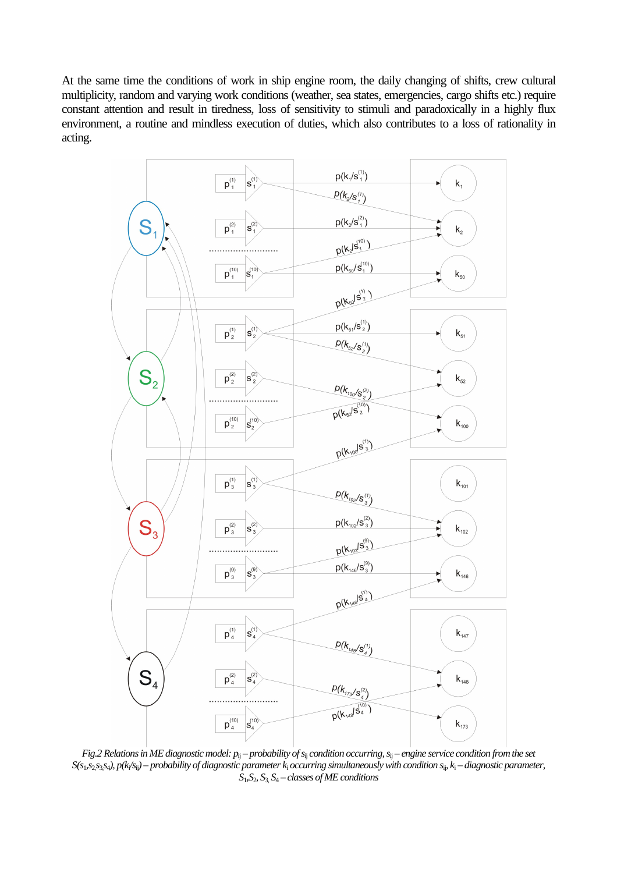At the same time the conditions of work in ship engine room, the daily changing of shifts, crew cultural multiplicity, random and varying work conditions (weather, sea states, emergencies, cargo shifts etc.) require constant attention and result in tiredness, loss of sensitivity to stimuli and paradoxically in a highly flux environment, a routine and mindless execution of duties, which also contributes to a loss of rationality in acting.



*Fig.2 Relations in ME diagnostic model:*  $p_{ij}$  *– probability of s<sub>ij</sub> condition occurring, s<sub>ij</sub> – engine service condition from the set S(s*1*,s*2,*s*3,*s*4*), p(k*<sup>i</sup> */s*ij*) – probability of diagnostic parameter k*<sup>i</sup>  *occurring simultaneously with condition s*ij*, k*<sup>i</sup>  *– diagnostic parameter,*   $S_1, S_2, S_3, S_4$  – *classes of ME conditions*